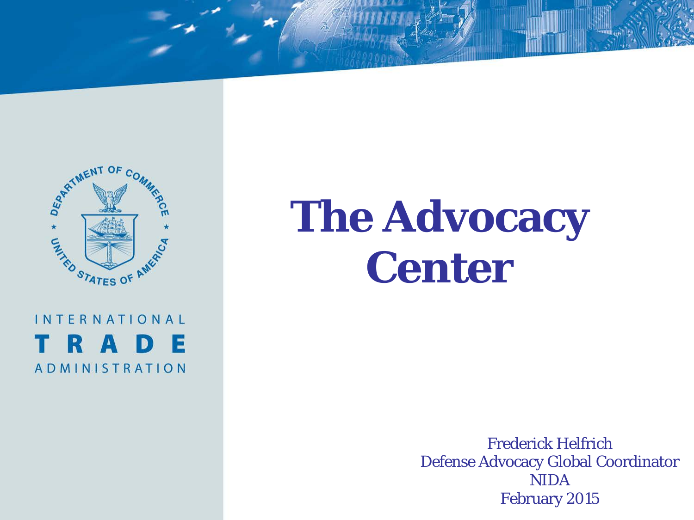

**INTERNATIONAL** R A D - IE **ADMINISTRATION** 

# **The Advocacy Center**

Frederick Helfrich Defense Advocacy Global Coordinator NIDA February 2015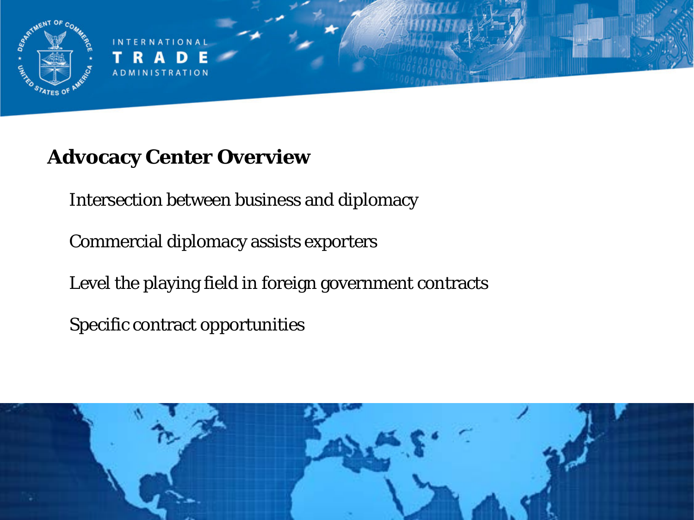

### **Advocacy Center Overview**

Intersection between business and diplomacy

Commercial diplomacy assists exporters

Level the playing field in foreign government contracts

Specific contract opportunities

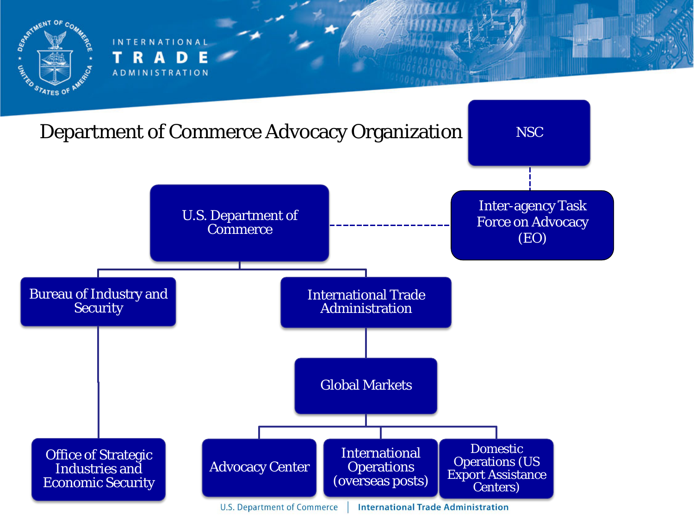

**INTERNATIONAL** R Л **ADMINISTRATION** 

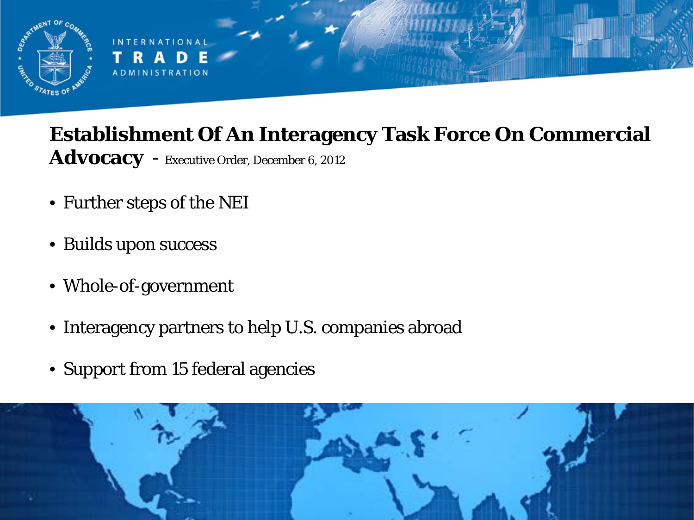

#### **Establishment Of An Interagency Task Force On Commercial Advocacy** - Executive Order, December 6, 2012

- Further steps of the NEI
- Builds upon success
- Whole-of-government
- Interagency partners to help U.S. companies abroad
- Support from 15 federal agencies

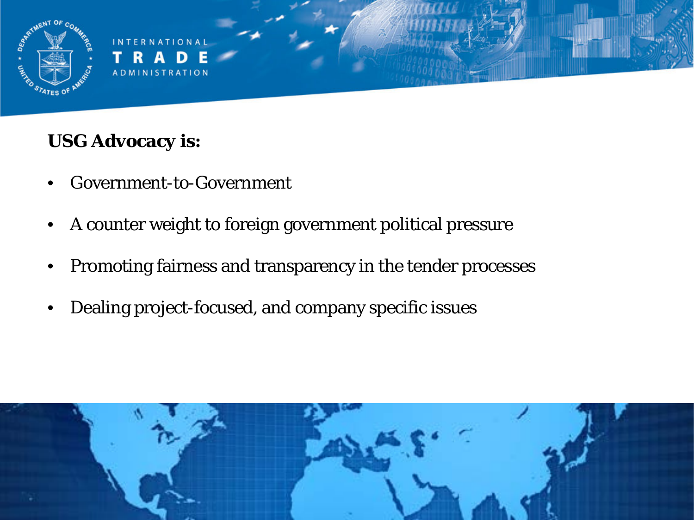

A D M I N I S T R A T I O N

#### **USG Advocacy is:**

- Government-to-Government
- A counter weight to foreign government political pressure
- Promoting fairness and transparency in the tender processes
- Dealing project-focused, and company specific issues

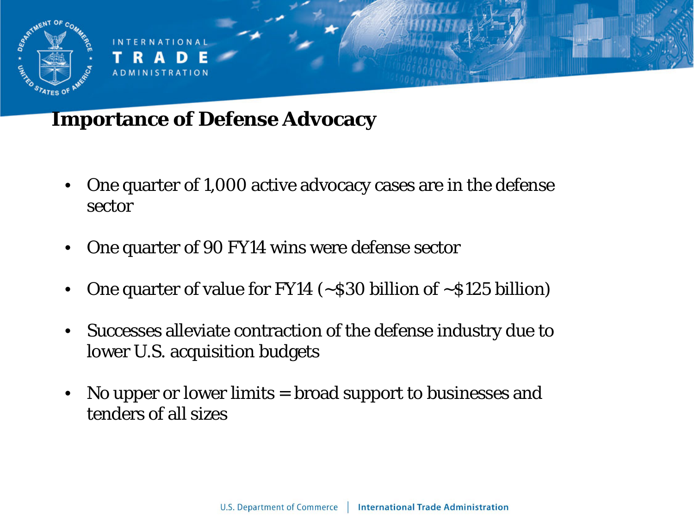

**RNATIONA ADMINISTRATION** 

### **Importance of Defense Advocacy**

- One quarter of 1,000 active advocacy cases are in the defense sector
- One quarter of 90 FY14 wins were defense sector
- One quarter of value for FY14 ( $\sim$ \$30 billion of  $\sim$ \$125 billion)
- Successes alleviate contraction of the defense industry due to lower U.S. acquisition budgets
- No upper or lower limits = broad support to businesses and tenders of all sizes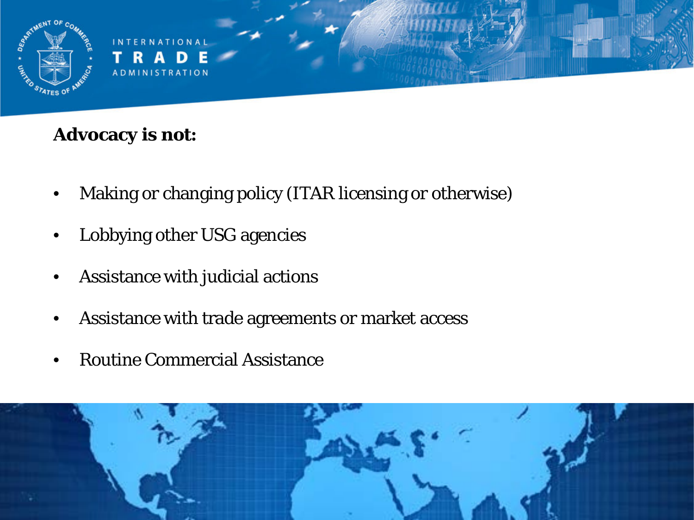

#### **Advocacy is not:**

- Making or changing policy (ITAR licensing or otherwise)
- Lobbying other USG agencies
- Assistance with judicial actions
- Assistance with trade agreements or market access
- Routine Commercial Assistance

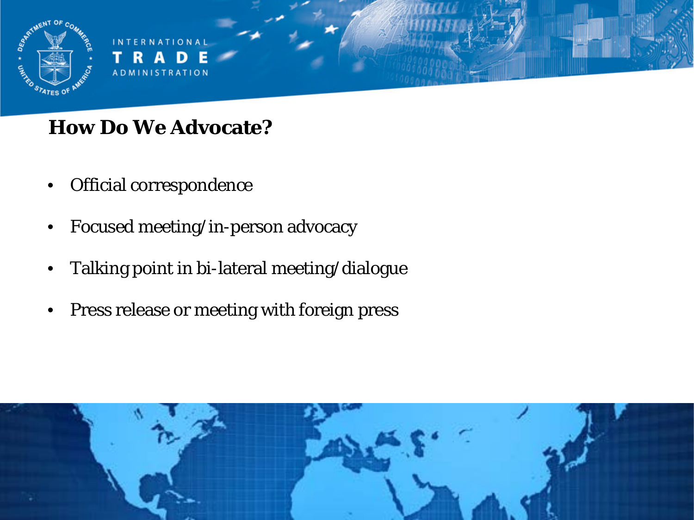

## **How Do We Advocate?**

- Official correspondence
- Focused meeting/in-person advocacy
- Talking point in bi-lateral meeting/dialogue
- Press release or meeting with foreign press

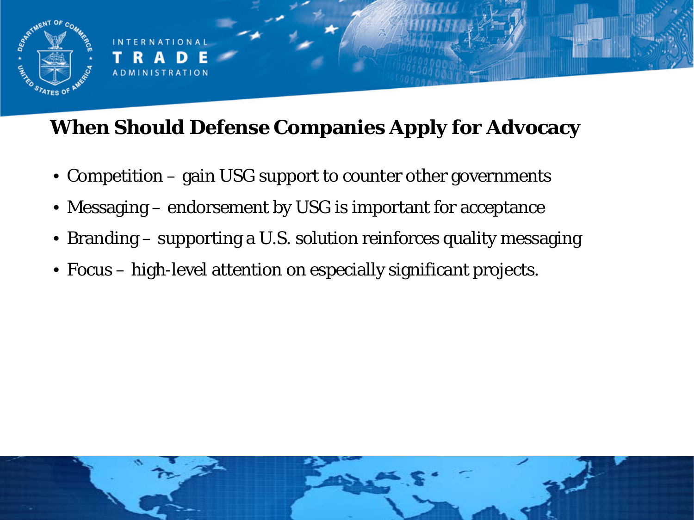

# **When Should Defense Companies Apply for Advocacy**

- Competition gain USG support to counter other governments
- Messaging endorsement by USG is important for acceptance
- Branding supporting a U.S. solution reinforces quality messaging
- Focus high-level attention on especially significant projects.

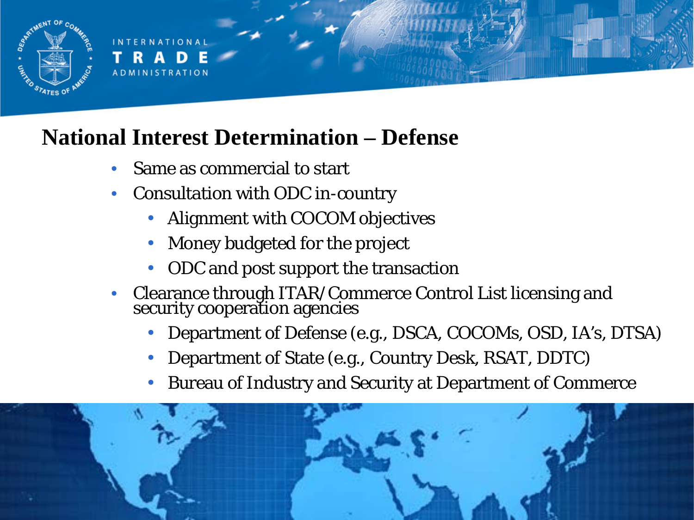

A D M I N I S T R A T I O N

# **National Interest Determination – Defense**

- Same as commercial to start
- Consultation with ODC in-country
	- Alignment with COCOM objectives
	- Money budgeted for the project
	- ODC and post support the transaction
- Clearance through ITAR/Commerce Control List licensing and security cooperation agencies
	- Department of Defense (e.g., DSCA, COCOMs, OSD, IA's, DTSA)
	- Department of State (e.g., Country Desk, RSAT, DDTC)
	- Bureau of Industry and Security at Department of Commerce

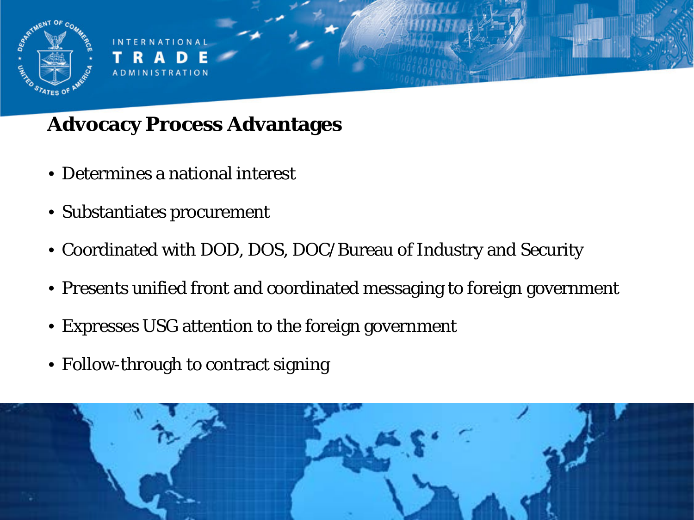

## **Advocacy Process Advantages**

- Determines a national interest
- Substantiates procurement
- Coordinated with DOD, DOS, DOC/Bureau of Industry and Security
- Presents unified front and coordinated messaging to foreign government
- Expresses USG attention to the foreign government
- Follow-through to contract signing

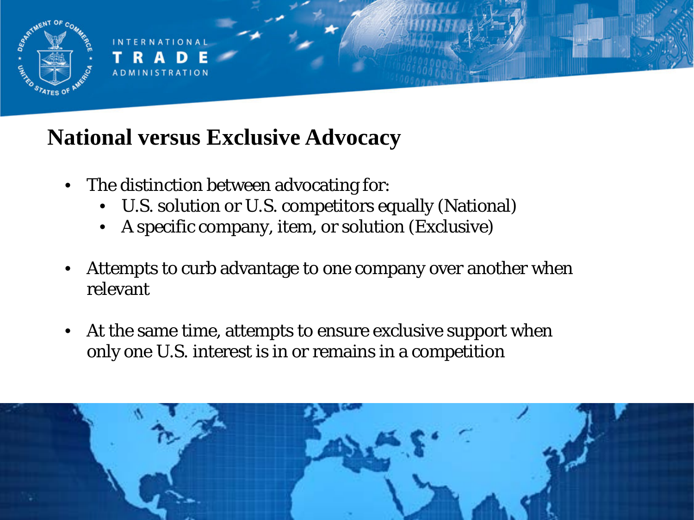

A D M I N I S T R A T I O N

# **National versus Exclusive Advocacy**

- The distinction between advocating for:
	- U.S. solution or U.S. competitors equally (National)
	- A specific company, item, or solution (Exclusive)
- Attempts to curb advantage to one company over another when relevant
- At the same time, attempts to ensure exclusive support when only one U.S. interest is in or remains in a competition

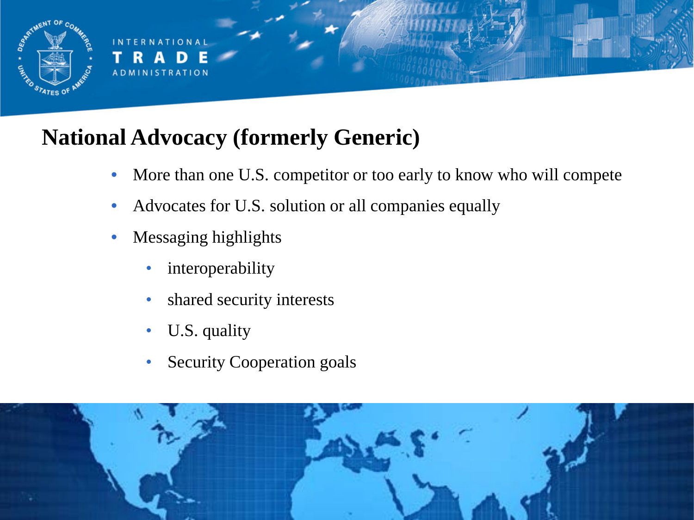

# **National Advocacy (formerly Generic)**

- More than one U.S. competitor or too early to know who will compete
- Advocates for U.S. solution or all companies equally
- Messaging highlights
	- interoperability
	- shared security interests
	- U.S. quality
	- Security Cooperation goals

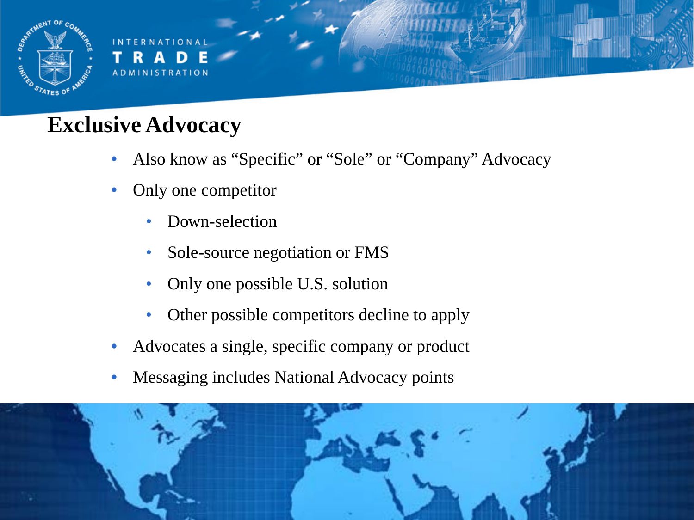

# **Exclusive Advocacy**

- Also know as "Specific" or "Sole" or "Company" Advocacy
- Only one competitor
	- Down-selection
	- Sole-source negotiation or FMS
	- Only one possible U.S. solution
	- Other possible competitors decline to apply
- Advocates a single, specific company or product
- Messaging includes National Advocacy points

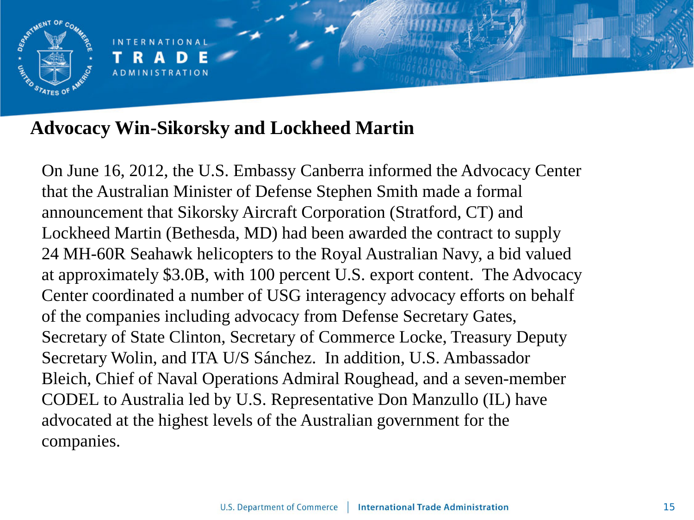

**RNATIONA ADMINISTRATION** 

#### **Advocacy Win-Sikorsky and Lockheed Martin**

On June 16, 2012, the U.S. Embassy Canberra informed the Advocacy Center that the Australian Minister of Defense Stephen Smith made a formal announcement that Sikorsky Aircraft Corporation (Stratford, CT) and Lockheed Martin (Bethesda, MD) had been awarded the contract to supply 24 MH-60R Seahawk helicopters to the Royal Australian Navy, a bid valued at approximately \$3.0B, with 100 percent U.S. export content. The Advocacy Center coordinated a number of USG interagency advocacy efforts on behalf of the companies including advocacy from Defense Secretary Gates, Secretary of State Clinton, Secretary of Commerce Locke, Treasury Deputy Secretary Wolin, and ITA U/S Sánchez. In addition, U.S. Ambassador Bleich, Chief of Naval Operations Admiral Roughead, and a seven-member CODEL to Australia led by U.S. Representative Don Manzullo (IL) have advocated at the highest levels of the Australian government for the companies.